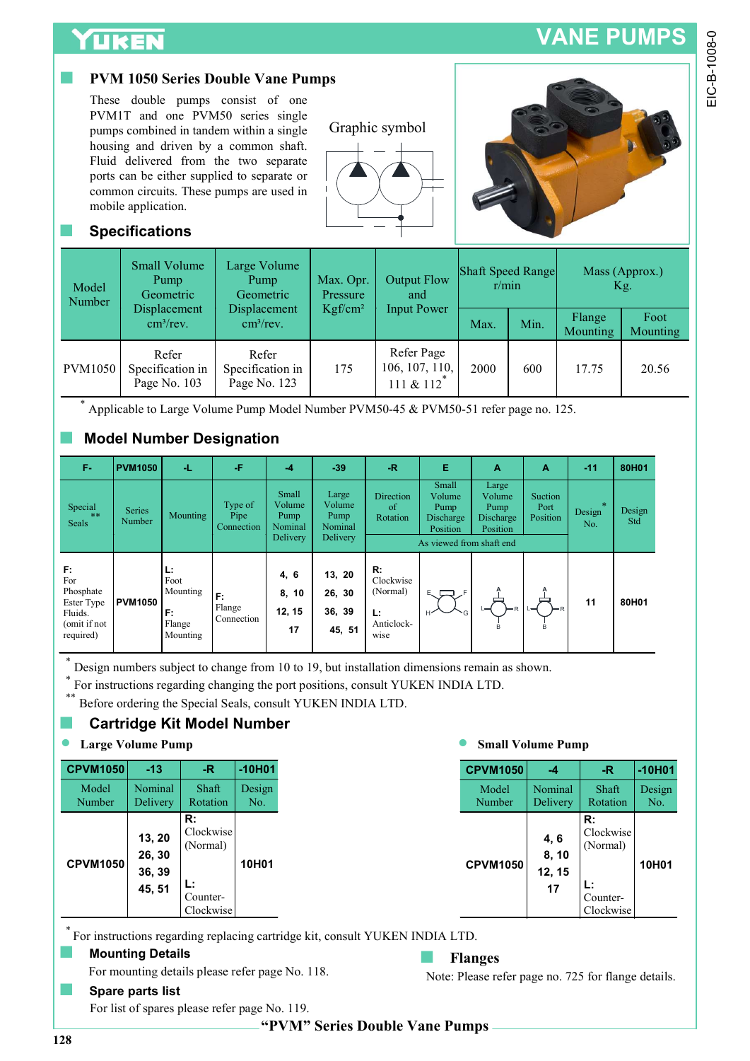## **UKEN**

## PVM 1050 Series Double Vane Pumps





## **Specifications**

| Model<br>Number | Small Volume<br>Pump<br>Geometric          | Large Volume<br>Pump<br>Geometric          | Max. Opr.<br>Pressure | Output Flow<br>and                        | Shaft Speed Range<br>r/min |      | Mass (Approx.)<br>Kg.     |                         |  |
|-----------------|--------------------------------------------|--------------------------------------------|-----------------------|-------------------------------------------|----------------------------|------|---------------------------|-------------------------|--|
|                 | Displacement<br>$\text{cm}^3/\text{rev}$ . | Displacement<br>$\text{cm}^3/\text{rev}$ . | Kgf/cm <sup>2</sup>   | <b>Input Power</b>                        | Max.                       | Min. | Flange<br><b>Mounting</b> | Foot<br><b>Mounting</b> |  |
| <b>PVM1050</b>  | Refer<br>Specification in<br>Page No. 103  | Refer<br>Specification in<br>Page No. 123  | 175                   | Refer Page<br>106, 107, 110,<br>111 & 112 | 2000                       | 600  | 17.75                     | 20.56                   |  |

## ■ Model Number Designation

|                                                                              | <b>UKEN</b>                                              |                                                            |                                                                                                                                                                                                                                                                                                                                             |                                                |                                                                                                                                                 |                                                         |                                          |                                                                                              |                               | <b>VANE PUMPS</b>                                          |               |                  |
|------------------------------------------------------------------------------|----------------------------------------------------------|------------------------------------------------------------|---------------------------------------------------------------------------------------------------------------------------------------------------------------------------------------------------------------------------------------------------------------------------------------------------------------------------------------------|------------------------------------------------|-------------------------------------------------------------------------------------------------------------------------------------------------|---------------------------------------------------------|------------------------------------------|----------------------------------------------------------------------------------------------|-------------------------------|------------------------------------------------------------|---------------|------------------|
|                                                                              | mobile application.<br><b>Specifications</b>             |                                                            | <b>PVM 1050 Series Double Vane Pumps</b><br>These double pumps consist of one<br>PVM1T and one PVM50 series single<br>pumps combined in tandem within a single<br>housing and driven by a common shaft.<br>Fluid delivered from the two separate<br>ports can be either supplied to separate or<br>common circuits. These pumps are used in |                                                |                                                                                                                                                 | Graphic symbol                                          |                                          |                                                                                              |                               |                                                            |               |                  |
| Model<br>Number                                                              | <b>Small Volume</b><br>Pump<br>Geometric<br>Displacement |                                                            | Large Volume<br>Pump<br>Geometric<br>Displacement                                                                                                                                                                                                                                                                                           |                                                | Max. Opr.<br>Pressure<br>Kgf/cm <sup>2</sup>                                                                                                    | and                                                     | <b>Output Flow</b><br><b>Input Power</b> | <b>Shaft Speed Range</b><br>r/min                                                            |                               | Mass (Approx.)<br>Kg.                                      |               |                  |
|                                                                              |                                                          | cm <sup>3</sup> /rev.                                      | cm <sup>3</sup> /rev.                                                                                                                                                                                                                                                                                                                       |                                                |                                                                                                                                                 |                                                         |                                          | Max.                                                                                         | Min.                          | Flange<br>Mounting                                         |               | Foot<br>Mounting |
| <b>PVM1050</b>                                                               |                                                          | Refer<br>Specification in<br>Page No. 103                  | Refer<br>Specification in<br>Page No. 123                                                                                                                                                                                                                                                                                                   |                                                | Refer Page<br>106, 107, 110,<br>175<br>111 & $112^*$                                                                                            |                                                         | 2000                                     | 600                                                                                          | 17.75                         |                                                            | 20.56         |                  |
|                                                                              |                                                          |                                                            | <b>Model Number Designation</b>                                                                                                                                                                                                                                                                                                             |                                                |                                                                                                                                                 |                                                         |                                          | Applicable to Large Volume Pump Model Number PVM50-45 & PVM50-51 refer page no. 125.         |                               |                                                            |               |                  |
| F-                                                                           | <b>PVM1050</b>                                           | ٠L.                                                        | Æ                                                                                                                                                                                                                                                                                                                                           | $-4$                                           | $-39$                                                                                                                                           | $\ensuremath{\mathsf{R}}$                               | Е<br>Small                               | A<br>Large                                                                                   | A                             | $-11$                                                      | 80H01         |                  |
| Special<br>Seals                                                             | <b>Series</b><br>Number                                  | Mounting                                                   | Type of<br>Pipe<br>Connection                                                                                                                                                                                                                                                                                                               | Small<br>Volume<br>Pump<br>Nominal<br>Delivery | Large<br>Volume<br>Pump<br>Nominal<br>Delivery                                                                                                  | Direction<br>of<br>Rotation                             | Volume<br>Pump<br>Discharge<br>Position  | Volume<br>Pump<br>Discharge<br>Position<br>As viewed from shaft end                          | Suction<br>Port<br>Position   | Design<br>No.                                              | Design<br>Std |                  |
| F.<br>For<br>Phosphate<br>Ester Type<br>Fluids.<br>(omit if not<br>required) | <b>PVM1050</b>                                           | Ŀ.<br>Foot<br>Mounting<br>F:<br>Flange<br>Mounting         | г.<br>Flange<br>Connection                                                                                                                                                                                                                                                                                                                  | 4, 6<br>8, 10<br>12, 15<br>17                  | 13, 20<br>26, 30<br>36, 39<br>45, 51                                                                                                            | R:<br>Clockwise<br>(Normal)<br>Ŀ.<br>Anticlock-<br>wise | EV <sub>F</sub>                          |                                                                                              |                               | 11                                                         | 80H01         |                  |
|                                                                              | <b>Large Volume Pump</b>                                 |                                                            | <b>Cartridge Kit Model Number</b>                                                                                                                                                                                                                                                                                                           |                                                | For instructions regarding changing the port positions, consult YUKEN INDIA LTD.<br>Before ordering the Special Seals, consult YUKEN INDIA LTD. |                                                         |                                          | Design numbers subject to change from 10 to 19, but installation dimensions remain as shown. | <b>Small Volume Pump</b>      |                                                            |               |                  |
| <b>CPVM1050</b>                                                              | $-13$                                                    | $-R$                                                       | $-10H01$                                                                                                                                                                                                                                                                                                                                    |                                                |                                                                                                                                                 |                                                         |                                          | <b>CPVM1050</b>                                                                              | $-4$                          | $-R$                                                       |               | $-10H01$         |
| Model<br>Number                                                              | Nominal<br>Delivery                                      | Shaft<br>Rotation                                          | Design<br>No.                                                                                                                                                                                                                                                                                                                               |                                                |                                                                                                                                                 |                                                         |                                          | Model<br>Number                                                                              | Nominal<br>Delivery           | Shaft<br>Rotation                                          |               | Design<br>No.    |
| <b>CPVM1050</b>                                                              | 13, 20<br>26, 30<br>36, 39<br>45, 51                     | R:<br>Clockwise<br>(Normal)<br>Ŀ.<br>Counter-<br>Clockwise | 10H01                                                                                                                                                                                                                                                                                                                                       |                                                |                                                                                                                                                 |                                                         |                                          | <b>CPVM1050</b>                                                                              | 4, 6<br>8, 10<br>12, 15<br>17 | R:<br>Clockwise<br>(Normal)<br>L:<br>Counter-<br>Clockwise |               | 10H01            |
|                                                                              | <b>Mounting Details</b>                                  |                                                            |                                                                                                                                                                                                                                                                                                                                             |                                                | For instructions regarding replacing cartridge kit, consult YUKEN INDIA LTD.                                                                    |                                                         |                                          | <b>Flanges</b>                                                                               |                               |                                                            |               |                  |

## **Cartridge Kit Model Number**

| <b>CPVM1050</b> | $-13$                                | -R.                                                        | $-10H01$      |
|-----------------|--------------------------------------|------------------------------------------------------------|---------------|
| Model<br>Number | Nominal<br>Delivery                  | Shaft<br>Rotation                                          | Design<br>No. |
| <b>CPVM1050</b> | 13, 20<br>26, 30<br>36, 39<br>45, 51 | R:<br>Clockwise<br>(Normal)<br>Ŀ.<br>Counter-<br>Clockwise | 10H01         |

| <b>CPVM1050</b> |
|-----------------|
| Model<br>Number |
| <b>CPVM1050</b> |

## ■ Mounting Details

For mounting details please refer page No. 118.

Note: Please refer page no. 725 for flange details.

Spare parts list For list of spares please refer page No. 119.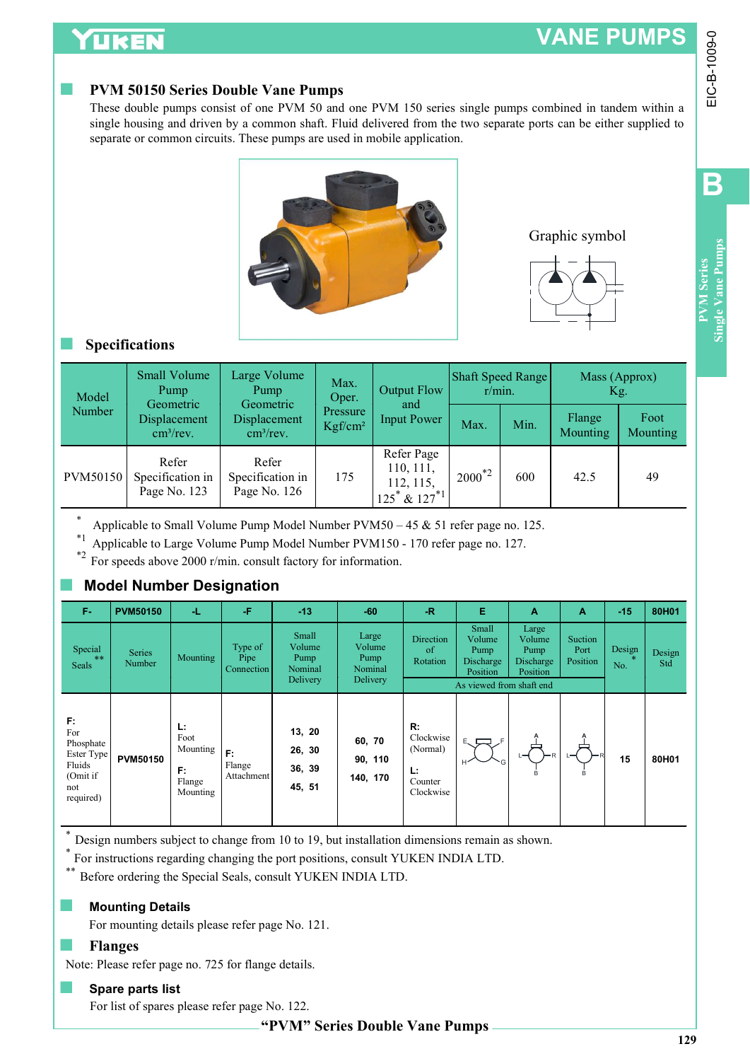# VANE PUMPS

## **PVM 50150 Series Double Vane Pumps**





### **Specifications**

| Model    | Small Volume<br>Pump                                    | Large Volume<br>Pump<br>Geometric         | Max.<br>Oper.                   | Output Flow                                                 | Shaft Speed Range<br>r/min. |      | Mass (Approx)<br>Kg.      |                         |  |
|----------|---------------------------------------------------------|-------------------------------------------|---------------------------------|-------------------------------------------------------------|-----------------------------|------|---------------------------|-------------------------|--|
| Number   | Geometric<br>Displacement<br>$\text{cm}^3/\text{rev}$ . | Displacement<br>cm <sup>3</sup> /rev.     | Pressure<br>Kgf/cm <sup>2</sup> | and<br><b>Input Power</b>                                   | Max.                        | Min. | Flange<br><b>Mounting</b> | Foot<br><b>Mounting</b> |  |
| PVM50150 | Refer<br>Specification in<br>Page No. 123               | Refer<br>Specification in<br>Page No. 126 | 175                             | Refer Page<br>110, 111,<br>112, 115,<br>$125^* \& 127^{*1}$ | $2000^{*2}$                 | 600  | 42.5                      | 49                      |  |

## **Model Number Designation**

|                                                                                | LIKEN                                                                                                                                                                                                                                                                                                                                                   |                                                            |                                           |                                                            |                                                 |                                                             |                                            |                                                                                   |                                                       | <b>VANE PUMPS</b>                |                        |                        |              |
|--------------------------------------------------------------------------------|---------------------------------------------------------------------------------------------------------------------------------------------------------------------------------------------------------------------------------------------------------------------------------------------------------------------------------------------------------|------------------------------------------------------------|-------------------------------------------|------------------------------------------------------------|-------------------------------------------------|-------------------------------------------------------------|--------------------------------------------|-----------------------------------------------------------------------------------|-------------------------------------------------------|----------------------------------|------------------------|------------------------|--------------|
|                                                                                | <b>PVM 50150 Series Double Vane Pumps</b><br>These double pumps consist of one PVM 50 and one PVM 150 series single pumps combined in tandem within a<br>single housing and driven by a common shaft. Fluid delivered from the two separate ports can be either supplied to<br>separate or common circuits. These pumps are used in mobile application. |                                                            |                                           |                                                            |                                                 |                                                             |                                            |                                                                                   |                                                       |                                  |                        |                        | EIC-B-1009-0 |
|                                                                                |                                                                                                                                                                                                                                                                                                                                                         |                                                            |                                           |                                                            |                                                 | B<br>Single Vane Pumps<br><b>PVM</b> Series                 |                                            |                                                                                   |                                                       |                                  |                        |                        |              |
| <b>Specifications</b><br><b>Small Volume</b>                                   |                                                                                                                                                                                                                                                                                                                                                         | Large Volume                                               |                                           | Max.                                                       | <b>Output Flow</b><br>and<br><b>Input Power</b> |                                                             | Shaft Speed Range                          |                                                                                   | Mass (Approx)                                         |                                  |                        |                        |              |
| Model<br>Number                                                                |                                                                                                                                                                                                                                                                                                                                                         | Pump<br>Geometric<br>Displacement<br>cm <sup>3</sup> /rev. |                                           | Pump<br>Geometric<br>Displacement<br>cm <sup>3</sup> /rev. |                                                 |                                                             | r/min.<br>Max.                             | Min.                                                                              | Flange<br>Mounting                                    | Kg.                              | Foot<br>Mounting       |                        |              |
| PVM50150                                                                       |                                                                                                                                                                                                                                                                                                                                                         | Refer<br>Specification in<br>Page No. 123                  | Refer<br>Specification in<br>Page No. 126 |                                                            | 175                                             | Refer Page<br>110, 111,<br>112, 115,<br>$125^* \& 127^{*1}$ |                                            | $2000^{*2}$                                                                       | 600                                                   | 42.5                             |                        | 49                     |              |
| $\ast$<br>$*_{1}$                                                              | Applicable to Small Volume Pump Model Number PVM50 - 45 & 51 refer page no. 125.<br>Applicable to Large Volume Pump Model Number PVM150 - 170 refer page no. 127.<br>For speeds above 2000 r/min. consult factory for information.                                                                                                                      |                                                            |                                           |                                                            |                                                 |                                                             |                                            |                                                                                   |                                                       |                                  |                        |                        |              |
|                                                                                | <b>Model Number Designation</b>                                                                                                                                                                                                                                                                                                                         |                                                            |                                           |                                                            |                                                 |                                                             |                                            |                                                                                   |                                                       |                                  |                        |                        |              |
| F-<br>Special<br>Seals                                                         | <b>PVM50150</b><br><b>Series</b><br>Number                                                                                                                                                                                                                                                                                                              | Æ.<br>Mounting                                             | -F<br>Type of<br>Pipe<br>Connection       | $-13$<br>Small<br>Volume<br>Pump<br>Nominal<br>Delivery    |                                                 | $-60$<br>Large<br>Volume<br>Pump<br>Nominal<br>Delivery     | $-R$<br>Direction<br>$\circ$ f<br>Rotation | Е<br>Small<br>Volume<br>Pump<br>Discharge<br>Position<br>As viewed from shaft end | A<br>Large<br>Volume<br>Pump<br>Discharge<br>Position | A<br>Suction<br>Port<br>Position | $-15$<br>Design<br>No. | 80H01<br>Design<br>Std |              |
| F.<br>For<br>Phosphate<br>Ester Type<br>Fluids<br>(Omit if<br>not<br>required) | <b>PVM50150</b>                                                                                                                                                                                                                                                                                                                                         | L:<br>Foot<br>Mounting<br>F.<br>Flange<br>Mounting         | F:<br>Flange<br>Attachment                | 13, 20<br>26, 30<br>36, 39<br>45, 51                       | 60, 70<br>140, 170                              | R:<br>(Normal)<br>90, 110<br>Ŀ.<br>Counter                  | Clockwise<br>Clockwise                     |                                                                                   |                                                       |                                  | 15                     | 80H01                  |              |
| $***$                                                                          | Design numbers subject to change from 10 to 19, but installation dimensions remain as shown.<br>For instructions regarding changing the port positions, consult YUKEN INDIA LTD.<br>Before ordering the Special Seals, consult YUKEN INDIA LTD.<br><b>Mounting Details</b><br>For mounting details please refer page No. 121.                           |                                                            |                                           |                                                            |                                                 |                                                             |                                            |                                                                                   |                                                       |                                  |                        |                        |              |
|                                                                                | <b>Flanges</b>                                                                                                                                                                                                                                                                                                                                          |                                                            |                                           |                                                            |                                                 |                                                             |                                            |                                                                                   |                                                       |                                  |                        |                        |              |

### **■ Mounting Details**

Note: Please refer page no. 725 for flange details.

### ■ Spare parts list

For list of spares please refer page No. 122.

"PVM" Series Double Vane Pumps